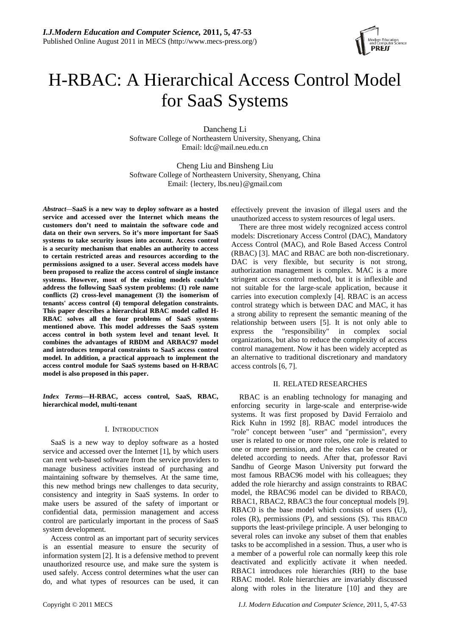

# H-RBAC: A Hierarchical Access Control Model for SaaS Systems

Dancheng Li Software College of Northeastern University, Shenyang, China Email: ldc@mail.neu.edu.cn

Cheng Liu and Binsheng Liu Software College of Northeastern University, Shenyang, China Email: {lectery, lbs.neu}@gmail.com

*Abstract—***SaaS is a new way to deploy software as a hosted service and accessed over the Internet which means the customers don't need to maintain the software code and data on their own servers. So it's more important for SaaS systems to take security issues into account. Access control is a security mechanism that enables an authority to access to certain restricted areas and resources according to the permissions assigned to a user. Several access models have been proposed to realize the access control of single instance systems. However, most of the existing models couldn't address the following SaaS system problems: (1) role name conflicts (2) cross-level management (3) the isomerism of tenants' access control (4) temporal delegation constraints. This paper describes a hierarchical RBAC model called H-RBAC solves all the four problems of SaaS systems mentioned above. This model addresses the SaaS system access control in both system level and tenant level. It combines the advantages of RBDM and ARBAC97 model and introduces temporal constraints to SaaS access control model. In addition, a practical approach to implement the access control module for SaaS systems based on H-RBAC model is also proposed in this paper.**

*Index Terms***—H-RBAC, access control, SaaS, RBAC, hierarchical model, multi-tenant** 

## I. INTRODUCTION

SaaS is a new way to deploy software as a hosted service and accessed over the Internet [1], by which users can rent web-based software from the service providers to manage business activities instead of purchasing and maintaining software by themselves. At the same time, this new method brings new challenges to data security, consistency and integrity in SaaS systems. In order to make users be assured of the safety of important or confidential data, permission management and access control are particularly important in the process of SaaS system development.

Access control as an important part of security services is an essential measure to ensure the security of information system [2]. It is a defensive method to prevent unauthorized resource use, and make sure the system is used safely. Access control determines what the user can do, and what types of resources can be used, it can effectively prevent the invasion of illegal users and the unauthorized access to system resources of legal users.

There are three most widely recognized access control models: Discretionary Access Control (DAC), Mandatory Access Control (MAC), and Role Based Access Control (RBAC) [3]. MAC and RBAC are both non-discretionary. DAC is very flexible, but security is not strong, authorization management is complex. MAC is a more stringent access control method, but it is inflexible and not suitable for the large-scale application, because it carries into execution complexly [4]. RBAC is an access control strategy which is between DAC and MAC, it has a strong ability to represent the semantic meaning of the relationship between users [5]. It is not only able to express the "responsibility" in complex social organizations, but also to reduce the complexity of access control management. Now it has been widely accepted as an alternative to traditional discretionary and mandatory access controls [6, 7].

# II. RELATED RESEARCHES

RBAC is an enabling technology for managing and enforcing security in large-scale and enterprise-wide systems. It was first proposed by David Ferraiolo and Rick Kuhn in 1992 [8]. RBAC model introduces the "role" concept between "user" and "permission", every user is related to one or more roles, one role is related to one or more permission, and the roles can be created or deleted according to needs. After that, professor Ravi Sandhu of George Mason University put forward the most famous RBAC96 model with his colleagues; they added the role hierarchy and assign constraints to RBAC model, the RBAC96 model can be divided to RBAC0, RBAC1, RBAC2, RBAC3 the four conceptual models [9]. RBAC0 is the base model which consists of users (U), roles (R), permissions (P), and sessions (S). This RBAC0 supports the least-privilege principle. A user belonging to several roles can invoke any subset of them that enables tasks to be accomplished in a session. Thus, a user who is a member of a powerful role can normally keep this role deactivated and explicitly activate it when needed. RBAC1 introduces role hierarchies (RH) to the base RBAC model. Role hierarchies are invariably discussed along with roles in the literature [10] and they are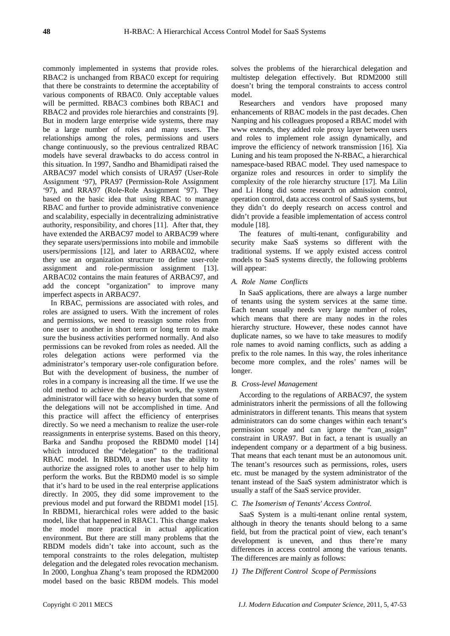commonly implemented in systems that provide roles. RBAC2 is unchanged from RBAC0 except for requiring that there be constraints to determine the acceptability of various components of RBAC0. Only acceptable values will be permitted. RBAC3 combines both RBAC1 and RBAC2 and provides role hierarchies and constraints [9]. But in modern large enterprise wide systems, there may be a large number of roles and many users. The relationships among the roles, permissions and users change continuously, so the previous centralized RBAC models have several drawbacks to do access control in this situation. In 1997, Sandho and Bhamidipati raised the ARBAC97 model which consists of URA97 (User-Role Assignment '97), PRA97 (Permission-Role Assignment '97), and RRA97 (Role-Role Assignment '97). They based on the basic idea that using RBAC to manage RBAC and further to provide administrative convenience and scalability, especially in decentralizing administrative authority, responsibility, and chores [11]. After that, they have extended the ARBAC97 model to ARBAC99 where they separate users/permissions into mobile and immobile users/permissions [12], and later to ARBAC02, where they use an organization structure to define user-role assignment and role-permission assignment [13]. ARBAC02 contains the main features of ARBAC97, and add the concept "organization" to improve many imperfect aspects in ARBAC97.

In RBAC, permissions are associated with roles, and roles are assigned to users. With the increment of roles and permissions, we need to reassign some roles from one user to another in short term or long term to make sure the business activities performed normally. And also permissions can be revoked from roles as needed. All the roles delegation actions were performed via the administrator's temporary user-role configuration before. But with the development of business, the number of roles in a company is increasing all the time. If we use the old method to achieve the delegation work, the system administrator will face with so heavy burden that some of the delegations will not be accomplished in time. And this practice will affect the efficiency of enterprises directly. So we need a mechanism to realize the user-role reassignments in enterprise systems. Based on this theory, Barka and Sandhu proposed the RBDM0 model [14] which introduced the "delegation" to the traditional RBAC model. In RBDM0, a user has the ability to authorize the assigned roles to another user to help him perform the works. But the RBDM0 model is so simple that it's hard to be used in the real enterprise applications directly. In 2005, they did some improvement to the previous model and put forward the RBDM1 model [15]. In RBDM1, hierarchical roles were added to the basic model, like that happened in RBAC1. This change makes the model more practical in actual application environment. But there are still many problems that the RBDM models didn't take into account, such as the temporal constraints to the roles delegation, multistep delegation and the delegated roles revocation mechanism. In 2000, Longhua Zhang's team proposed the RDM2000 model based on the basic RBDM models. This model

solves the problems of the hierarchical delegation and multistep delegation effectively. But RDM2000 still doesn't bring the temporal constraints to access control model.

Researchers and vendors have proposed many enhancements of RBAC models in the past decades. Chen Nanping and his colleagues proposed a RBAC model with www extends, they added role proxy layer between users and roles to implement role assign dynamically, and improve the efficiency of network transmission [16]. Xia Luning and his team proposed the N-RBAC, a hierarchical namespace-based RBAC model. They used namespace to organize roles and resources in order to simplify the complexity of the role hierarchy structure [17]. Ma Lilin and Li Hong did some research on admission control, operation control, data access control of SaaS systems, but they didn't do deeply research on access control and didn't provide a feasible implementation of access control module [18].

The features of multi-tenant, configurability and security make SaaS systems so different with the traditional systems. If we apply existed access control models to SaaS systems directly, the following problems will appear:

#### *A. Role Name Conflicts*

In SaaS applications, there are always a large number of tenants using the system services at the same time. Each tenant usually needs very large number of roles, which means that there are many nodes in the roles hierarchy structure. However, these nodes cannot have duplicate names, so we have to take measures to modify role names to avoid naming conflicts, such as adding a prefix to the role names. In this way, the roles inheritance become more complex, and the roles' names will be longer.

#### *B. Cross-level Management*

According to the regulations of ARBAC97, the system administrators inherit the permissions of all the following administrators in different tenants. This means that system administrators can do some changes within each tenant's permission scope and can ignore the "can\_assign" constraint in URA97. But in fact, a tenant is usually an independent company or a department of a big business. That means that each tenant must be an autonomous unit. The tenant's resources such as permissions, roles, users etc. must be managed by the system administrator of the tenant instead of the SaaS system administrator which is usually a staff of the SaaS service provider.

#### *C. The Isomerism of Tenants' Access Control.*

SaaS System is a multi-tenant online rental system, although in theory the tenants should belong to a same field, but from the practical point of view, each tenant's development is uneven, and thus there're many differences in access control among the various tenants. The differences are mainly as follows:

#### *1) The Different Control Scope of Permissions*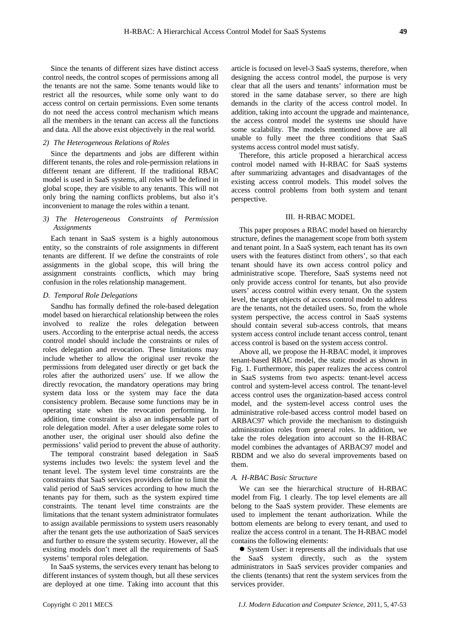Since the tenants of different sizes have distinct access control needs, the control scopes of permissions among all the tenants are not the same. Some tenants would like to restrict all the resources, while some only want to do access control on certain permissions. Even some tenants do not need the access control mechanism which means all the members in the tenant can access all the functions and data. All the above exist objectively in the real world.

#### *2) The Heterogeneous Relations of Roles*

Since the departments and jobs are different within different tenants, the roles and role-permission relations in different tenant are different. If the traditional RBAC model is used in SaaS systems, all roles will be defined in global scope, they are visible to any tenants. This will not only bring the naming conflicts problems, but also it's inconvenient to manage the roles within a tenant.

# *3) The Heterogeneous Constraints of Permission Assignments*

Each tenant in SaaS system is a highly autonomous entity, so the constraints of role assignments in different tenants are different. If we define the constraints of role assignments in the global scope, this will bring the assignment constraints conflicts, which may bring confusion in the roles relationship management.

# *D. Temporal Role Delegations*

Sandhu has formally defined the role-based delegation model based on hierarchical relationship between the roles involved to realize the roles delegation between users. According to the enterprise actual needs, the access control model should include the constraints or rules of roles delegation and revocation. These limitations may include whether to allow the original user revoke the permissions from delegated user directly or get back the roles after the authorized users' use. If we allow the directly revocation, the mandatory operations may bring system data loss or the system may face the data consistency problem. Because some functions may be in operating state when the revocation performing. In addition, time constraint is also an indispensable part of role delegation model. After a user delegate some roles to another user, the original user should also define the permissions' valid period to prevent the abuse of authority.

The temporal constraint based delegation in SaaS systems includes two levels: the system level and the tenant level. The system level time constraints are the constraints that SaaS services providers define to limit the valid period of SaaS services according to how much the tenants pay for them, such as the system expired time constraints. The tenant level time constraints are the limitations that the tenant system administrator formulates to assign available permissions to system users reasonably after the tenant gets the use authorization of SaaS services and further to ensure the system security. However, all the existing models don't meet all the requirements of SaaS systems' temporal roles delegation.

In SaaS systems, the services every tenant has belong to different instances of system though, but all these services are deployed at one time. Taking into account that this

article is focused on level-3 SaaS systems, therefore, when designing the access control model, the purpose is very clear that all the users and tenants' information must be stored in the same database server, so there are high demands in the clarity of the access control model. In addition, taking into account the upgrade and maintenance, the access control model the systems use should have some scalability. The models mentioned above are all unable to fully meet the three conditions that SaaS systems access control model must satisfy.

Therefore, this article proposed a hierarchical access control model named with H-RBAC for SaaS systems after summarizing advantages and disadvantages of the existing access control models. This model solves the access control problems from both system and tenant perspective.

## III. H-RBAC MODEL

This paper proposes a RBAC model based on hierarchy structure, defines the management scope from both system and tenant point. In a SaaS system, each tenant has its own users with the features distinct from others', so that each tenant should have its own access control policy and administrative scope. Therefore, SaaS systems need not only provide access control for tenants, but also provide users' access control within every tenant. On the system level, the target objects of access control model to address are the tenants, not the detailed users. So, from the whole system perspective, the access control in SaaS systems should contain several sub-access controls, that means system access control include tenant access control, tenant access control is based on the system access control.

Above all, we propose the H-RBAC model, it improves tenant-based RBAC model, the static model as shown in Fig. 1. Furthermore, this paper realizes the access control in SaaS systems from two aspects: tenant-level access control and system-level access control. The tenant-level access control uses the organization-based access control model, and the system-level access control uses the administrative role-based access control model based on ARBAC97 which provide the mechanism to distinguish administration roles from general roles. In addition, we take the roles delegation into account so the H-RBAC model combines the advantages of ARBAC97 model and RBDM and we also do several improvements based on them.

# *A. H-RBAC Basic Structure*

We can see the hierarchical structure of H-RBAC model from Fig. 1 clearly. The top level elements are all belong to the SaaS system provider. These elements are used to implement the tenant authorization. While the bottom elements are belong to every tenant, and used to realize the access control in a tenant. The H-RBAC model contains the following elements:

• System User: it represents all the individuals that use the SaaS system directly, such as the system administrators in SaaS services provider companies and the clients (tenants) that rent the system services from the services provider.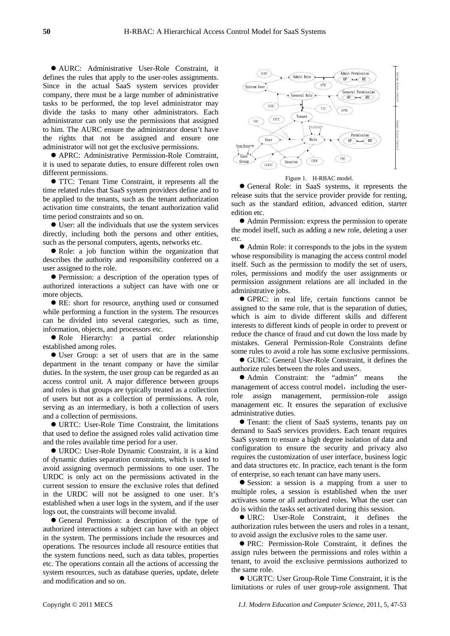z AURC: Administrative User-Role Constraint, it defines the rules that apply to the user-roles assignments. Since in the actual SaaS system services provider company, there must be a large number of administrative tasks to be performed, the top level administrator may divide the tasks to many other administrators. Each administrator can only use the permissions that assigned to him. The AURC ensure the administrator doesn't have the rights that not be assigned and ensure one administrator will not get the exclusive permissions.

• APRC: Administrative Permission-Role Constraint, it is used to separate duties, to ensure different roles own different permissions.

 $\bullet$  TTC: Tenant Time Constraint, it represents all the time related rules that SaaS system providers define and to be applied to the tenants, such as the tenant authorization activation time constraints, the tenant authorization valid time period constraints and so on.

 $\bullet$  User: all the individuals that use the system services directly, including both the persons and other entities, such as the personal computers, agents, networks etc.

• Role: a job function within the organization that describes the authority and responsibility conferred on a user assigned to the role.

• Permission: a description of the operation types of authorized interactions a subject can have with one or more objects.

• RE: short for resource, anything used or consumed while performing a function in the system. The resources can be divided into several categories, such as time, information, objects, and processors etc.

 $\bullet$  Role Hierarchy: a partial order relationship established among roles.

• User Group: a set of users that are in the same department in the tenant company or have the similar duties. In the system, the user group can be regarded as an access control unit. A major difference between groups and roles is that groups are typically treated as a collection of users but not as a collection of permissions. A role, serving as an intermediary, is both a collection of users and a collection of permissions.

• URTC: User-Role Time Constraint, the limitations that used to define the assigned roles valid activation time and the roles available time period for a user.

● URDC: User-Role Dynamic Constraint, it is a kind of dynamic duties separation constraints, which is used to avoid assigning overmuch permissions to one user. The URDC is only act on the permissions activated in the current session to ensure the exclusive roles that defined in the URDC will not be assigned to one user. It's established when a user logs in the system, and if the user logs out, the constraints will become invalid.

• General Permission: a description of the type of authorized interactions a subject can have with an object in the system. The permissions include the resources and operations. The resources include all resource entities that the system functions need, such as data tables, properties etc. The operations contain all the actions of accessing the system resources, such as database queries, update, delete and modification and so on.



Figure 1. H-RBAC model.

z General Role: in SaaS systems, it represents the release suits that the service provider provide for renting, such as the standard edition, advanced edition, starter edition etc.

• Admin Permission: express the permission to operate the model itself, such as adding a new role, deleting a user etc.

• Admin Role: it corresponds to the jobs in the system whose responsibility is managing the access control model itself. Such as the permission to modify the set of users, roles, permissions and modify the user assignments or permission assignment relations are all included in the administrative jobs.

z GPRC: in real life, certain functions cannot be assigned to the same role, that is the separation of duties, which is aim to divide different skills and different interests to different kinds of people in order to prevent or reduce the chance of fraud and cut down the loss made by mistakes. General Permission-Role Constraints define some rules to avoid a role has some exclusive permissions.

● GURC: General User-Role Constraint, it defines the authorize rules between the roles and users.

• Admin Constraint: the "admin" means the management of access control model, including the userrole assign management, permission-role assign management etc. It ensures the separation of exclusive administrative duties.

• Tenant: the client of SaaS systems, tenants pay on demand to SaaS services providers. Each tenant requires SaaS system to ensure a high degree isolation of data and configuration to ensure the security and privacy also requires the customization of user interface, business logic and data structures etc. In practice, each tenant is the form of enterprise, so each tenant can have many users.

• Session: a session is a mapping from a user to multiple roles, a session is established when the user activates some or all authorized roles. What the user can do is within the tasks set activated during this session.

z URC: User-Role Constraint, it defines the authorization rules between the users and roles in a tenant, to avoid assign the exclusive roles to the same user.

**• PRC: Permission-Role Constraint, it defines the** assign rules between the permissions and roles within a tenant, to avoid the exclusive permissions authorized to the same role.

● UGRTC: User Group-Role Time Constraint, it is the limitations or rules of user group-role assignment. That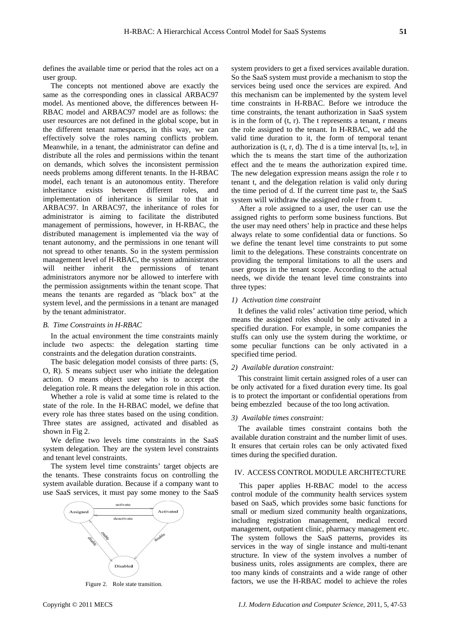defines the available time or period that the roles act on a user group.

The concepts not mentioned above are exactly the same as the corresponding ones in classical ARBAC97 model. As mentioned above, the differences between H-RBAC model and ARBAC97 model are as follows: the user resources are not defined in the global scope, but in the different tenant namespaces, in this way, we can effectively solve the roles naming conflicts problem. Meanwhile, in a tenant, the administrator can define and distribute all the roles and permissions within the tenant on demands, which solves the inconsistent permission needs problems among different tenants. In the H-RBAC model, each tenant is an autonomous entity. Therefore inheritance exists between different roles, and implementation of inheritance is similar to that in ARBAC97. In ARBAC97, the inheritance of roles for administrator is aiming to facilitate the distributed management of permissions, however, in H-RBAC, the distributed management is implemented via the way of tenant autonomy, and the permissions in one tenant will not spread to other tenants. So in the system permission management level of H-RBAC, the system administrators will neither inherit the permissions of tenant administrators anymore nor be allowed to interfere with the permission assignments within the tenant scope. That means the tenants are regarded as "black box" at the system level, and the permissions in a tenant are managed by the tenant administrator.

#### *B. Time Constraints in H-RBAC*

In the actual environment the time constraints mainly include two aspects: the delegation starting time constraints and the delegation duration constraints.

The basic delegation model consists of three parts: (S, O, R). S means subject user who initiate the delegation action. O means object user who is to accept the delegation role. R means the delegation role in this action.

Whether a role is valid at some time is related to the state of the role. In the H-RBAC model, we define that every role has three states based on the using condition. Three states are assigned, activated and disabled as shown in Fig 2.

We define two levels time constraints in the SaaS system delegation. They are the system level constraints and tenant level constraints.

The system level time constraints' target objects are the tenants. These constraints focus on controlling the system available duration. Because if a company want to use SaaS services, it must pay some money to the SaaS



system providers to get a fixed services available duration. So the SaaS system must provide a mechanism to stop the services being used once the services are expired. And this mechanism can be implemented by the system level time constraints in H-RBAC. Before we introduce the time constraints, the tenant authorization in SaaS system is in the form of  $(t, r)$ . The t represents a tenant, r means the role assigned to the tenant. In H-RBAC, we add the valid time duration to it, the form of temporal tenant authorization is  $(t, r, d)$ . The d is a time interval [ts, te], in which the ts means the start time of the authorization effect and the te means the authorization expired time. The new delegation expression means assign the role r to tenant t, and the delegation relation is valid only during the time period of d. If the current time past te, the SaaS system will withdraw the assigned role r from t.

After a role assigned to a user, the user can use the assigned rights to perform some business functions. But the user may need others' help in practice and these helps always relate to some confidential data or functions. So we define the tenant level time constraints to put some limit to the delegations. These constraints concentrate on providing the temporal limitations to all the users and user groups in the tenant scope. According to the actual needs, we divide the tenant level time constraints into three types:

#### *1) Activation time constraint*

It defines the valid roles' activation time period, which means the assigned roles should be only activated in a specified duration. For example, in some companies the stuffs can only use the system during the worktime, or some peculiar functions can be only activated in a specified time period.

#### *2) Available duration constraint:*

This constraint limit certain assigned roles of a user can be only activated for a fixed duration every time. Its goal is to protect the important or confidential operations from being embezzled because of the too long activation.

#### *3) Available times constraint:*

The available times constraint contains both the available duration constraint and the number limit of uses. It ensures that certain roles can be only activated fixed times during the specified duration.

#### IV. ACCESS CONTROL MODULE ARCHITECTURE

This paper applies H-RBAC model to the access control module of the community health services system based on SaaS, which provides some basic functions for small or medium sized community health organizations, including registration management, medical record management, outpatient clinic, pharmacy management etc. The system follows the SaaS patterns, provides its services in the way of single instance and multi-tenant structure. In view of the system involves a number of business units, roles assignments are complex, there are too many kinds of constraints and a wide range of other Figure 2. Role state transition. **Figure 2.** Role state transition. **Figure 2.** Role state transition.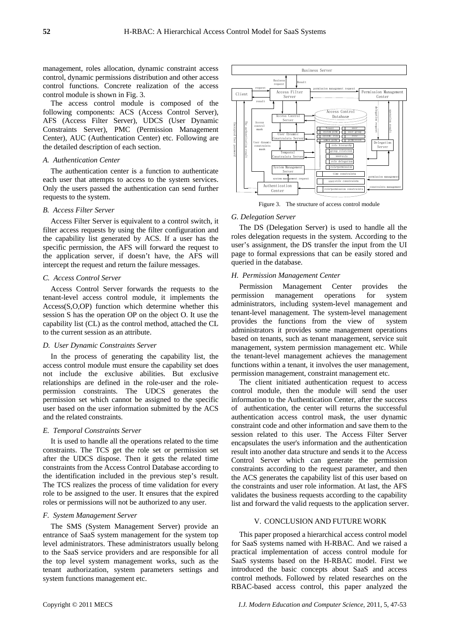management, roles allocation, dynamic constraint access control, dynamic permissions distribution and other access control functions. Concrete realization of the access control module is shown in Fig. 3.

The access control module is composed of the following components: ACS (Access Control Server), AFS (Access Filter Server), UDCS (User Dynamic Constraints Server), PMC (Permission Management Center), AUC (Authentication Center) etc. Following are the detailed description of each section.

#### *A. Authentication Center*

The authentication center is a function to authenticate each user that attempts to access to the system services. Only the users passed the authentication can send further requests to the system.

## *B. Access Filter Server*

Access Filter Server is equivalent to a control switch, it filter access requests by using the filter configuration and the capability list generated by ACS. If a user has the specific permission, the AFS will forward the request to the application server, if doesn't have, the AFS will intercept the request and return the failure messages.

### *C. Access Control Server*

Access Control Server forwards the requests to the tenant-level access control module, it implements the Access(S,O,OP) function which determine whether this session S has the operation OP on the object O. It use the capability list (CL) as the control method, attached the CL to the current session as an attribute.

#### *D. User Dynamic Constraints Server*

In the process of generating the capability list, the access control module must ensure the capability set does not include the exclusive abilities. But exclusive relationships are defined in the role-user and the rolepermission constraints. The UDCS generates the permission set which cannot be assigned to the specific user based on the user information submitted by the ACS and the related constraints.

#### *E. Temporal Constraints Server*

It is used to handle all the operations related to the time constraints. The TCS get the role set or permission set after the UDCS dispose. Then it gets the related time constraints from the Access Control Database according to the identification included in the previous step's result. The TCS realizes the process of time validation for every role to be assigned to the user. It ensures that the expired roles or permissions will not be authorized to any user.

# *F. System Management Server*

The SMS (System Management Server) provide an entrance of SaaS system management for the system top level administrators. These administrators usually belong to the SaaS service providers and are responsible for all the top level system management works, such as the tenant authorization, system parameters settings and system functions management etc.



Figure 3. The structure of access control module

#### *G. Delegation Server*

The DS (Delegation Server) is used to handle all the roles delegation requests in the system. According to the user's assignment, the DS transfer the input from the UI page to formal expressions that can be easily stored and queried in the database.

#### *H. Permission Management Center*

Permission Management Center provides the permission management operations for system administrators, including system-level management and tenant-level management. The system-level management provides the functions from the view of system administrators it provides some management operations based on tenants, such as tenant management, service suit management, system permission management etc. While the tenant-level management achieves the management functions within a tenant, it involves the user management, permission management, constraint management etc.

The client initiated authentication request to access control module, then the module will send the user information to the Authentication Center, after the success of authentication, the center will returns the successful authentication access control mask, the user dynamic constraint code and other information and save them to the session related to this user. The Access Filter Server encapsulates the user's information and the authentication result into another data structure and sends it to the Access Control Server which can generate the permission constraints according to the request parameter, and then the ACS generates the capability list of this user based on the constraints and user role information. At last, the AFS validates the business requests according to the capability list and forward the valid requests to the application server.

#### V. CONCLUSION AND FUTURE WORK

This paper proposed a hierarchical access control model for SaaS systems named with H-RBAC. And we raised a practical implementation of access control module for SaaS systems based on the H-RBAC model. First we introduced the basic concepts about SaaS and access control methods. Followed by related researches on the RBAC-based access control, this paper analyzed the